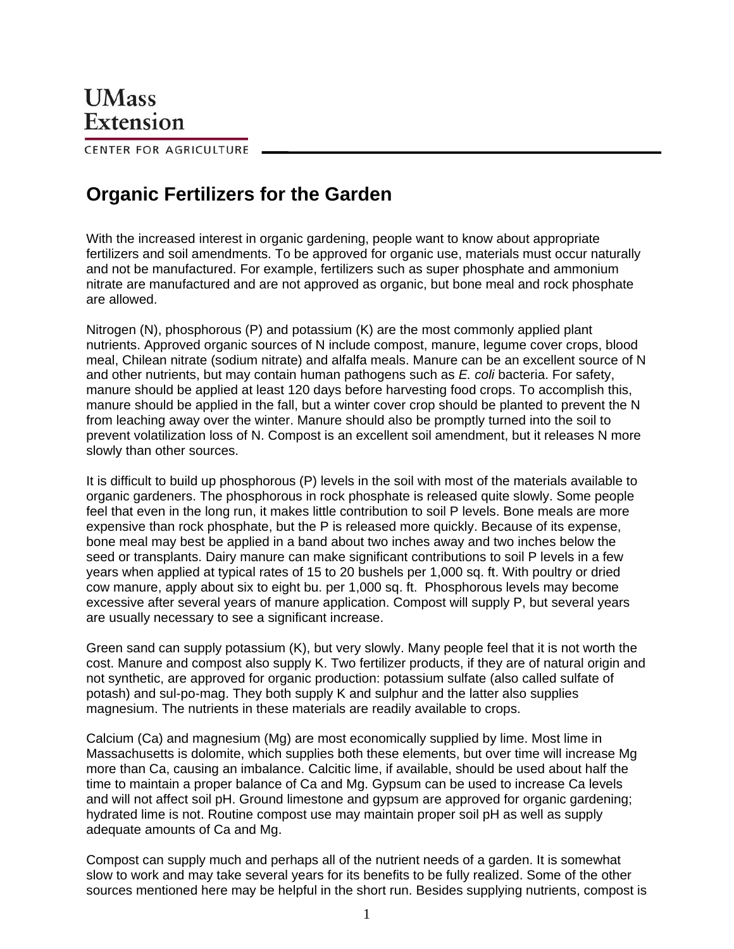CENTER FOR AGRICULTURE

## **Organic Fertilizers for the Garden**

With the increased interest in organic gardening, people want to know about appropriate fertilizers and soil amendments. To be approved for organic use, materials must occur naturally and not be manufactured. For example, fertilizers such as super phosphate and ammonium nitrate are manufactured and are not approved as organic, but bone meal and rock phosphate are allowed.

Nitrogen (N), phosphorous (P) and potassium (K) are the most commonly applied plant nutrients. Approved organic sources of N include compost, manure, legume cover crops, blood meal, Chilean nitrate (sodium nitrate) and alfalfa meals. Manure can be an excellent source of N and other nutrients, but may contain human pathogens such as *E. coli* bacteria. For safety, manure should be applied at least 120 days before harvesting food crops. To accomplish this, manure should be applied in the fall, but a winter cover crop should be planted to prevent the N from leaching away over the winter. Manure should also be promptly turned into the soil to prevent volatilization loss of N. Compost is an excellent soil amendment, but it releases N more slowly than other sources.

It is difficult to build up phosphorous (P) levels in the soil with most of the materials available to organic gardeners. The phosphorous in rock phosphate is released quite slowly. Some people feel that even in the long run, it makes little contribution to soil P levels. Bone meals are more expensive than rock phosphate, but the P is released more quickly. Because of its expense, bone meal may best be applied in a band about two inches away and two inches below the seed or transplants. Dairy manure can make significant contributions to soil P levels in a few years when applied at typical rates of 15 to 20 bushels per 1,000 sq. ft. With poultry or dried cow manure, apply about six to eight bu. per 1,000 sq. ft. Phosphorous levels may become excessive after several years of manure application. Compost will supply P, but several years are usually necessary to see a significant increase.

Green sand can supply potassium (K), but very slowly. Many people feel that it is not worth the cost. Manure and compost also supply K. Two fertilizer products, if they are of natural origin and not synthetic, are approved for organic production: potassium sulfate (also called sulfate of potash) and sul-po-mag. They both supply K and sulphur and the latter also supplies magnesium. The nutrients in these materials are readily available to crops.

Calcium (Ca) and magnesium (Mg) are most economically supplied by lime. Most lime in Massachusetts is dolomite, which supplies both these elements, but over time will increase Mg more than Ca, causing an imbalance. Calcitic lime, if available, should be used about half the time to maintain a proper balance of Ca and Mg. Gypsum can be used to increase Ca levels and will not affect soil pH. Ground limestone and gypsum are approved for organic gardening; hydrated lime is not. Routine compost use may maintain proper soil pH as well as supply adequate amounts of Ca and Mg.

Compost can supply much and perhaps all of the nutrient needs of a garden. It is somewhat slow to work and may take several years for its benefits to be fully realized. Some of the other sources mentioned here may be helpful in the short run. Besides supplying nutrients, compost is